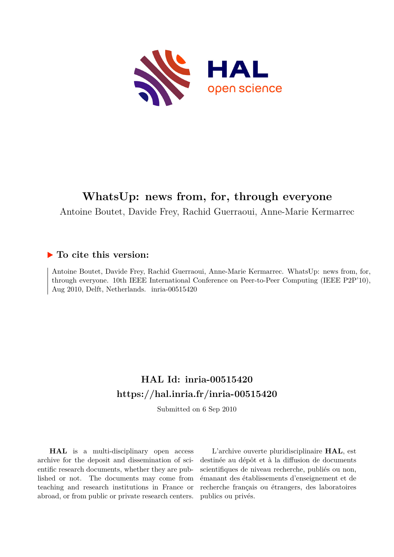

## **WhatsUp: news from, for, through everyone**

Antoine Boutet, Davide Frey, Rachid Guerraoui, Anne-Marie Kermarrec

### **To cite this version:**

Antoine Boutet, Davide Frey, Rachid Guerraoui, Anne-Marie Kermarrec. WhatsUp: news from, for, through everyone. 10th IEEE International Conference on Peer-to-Peer Computing (IEEE P2P'10), Aug 2010, Delft, Netherlands. inria-00515420

## **HAL Id: inria-00515420 <https://hal.inria.fr/inria-00515420>**

Submitted on 6 Sep 2010

**HAL** is a multi-disciplinary open access archive for the deposit and dissemination of scientific research documents, whether they are published or not. The documents may come from teaching and research institutions in France or abroad, or from public or private research centers.

L'archive ouverte pluridisciplinaire **HAL**, est destinée au dépôt et à la diffusion de documents scientifiques de niveau recherche, publiés ou non, émanant des établissements d'enseignement et de recherche français ou étrangers, des laboratoires publics ou privés.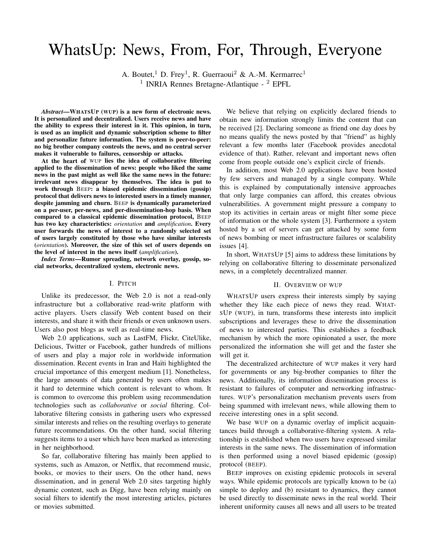# WhatsUp: News, From, For, Through, Everyone

A. Boutet,<sup>1</sup> D. Frey<sup>1</sup>, R. Guerraoui<sup>2</sup> & A.-M. Kermarrec<sup>1</sup> <sup>1</sup> INRIA Rennes Bretagne-Atlantique - <sup>2</sup> EPFL

*Abstract***—WHATSUP (WUP) is a new form of electronic news. It is personalized and decentralized. Users receive news and have the ability to express their interest in it. This opinion, in turn, is used as an implicit and dynamic subscription scheme to filter and personalize future information. The system is peer-to-peer: no big brother company controls the news, and no central server makes it vulnerable to failures, censorship or attacks.**

**At the heart of** WUP **lies the idea of collaborative filtering applied to the dissemination of news: people who liked the same news in the past might as well like the same news in the future: irrelevant news disappear by themselves. The idea is put to work through** BEEP**: a biased epidemic dissemination (gossip) protocol that delivers news to interested users in a timely manner, despite jamming and churn.** BEEP **is dynamically parameterized on a per-user, per-news, and per-dissemination-hop basis. When compared to a classical epidemic dissemination protocol,** BEEP **has two key characteristics:** *orientation* **and** *amplification***. Every user forwards the news of interest to a randomly selected set of users largely constituted by those who have similar interests (***orientation***). Moreover, the size of this set of users depends on the level of interest in the news itself (***amplification***).**

*Index Terms***—Rumor spreading, network overlay, gossip, social networks, decentralized system, electronic news.**

#### I. PITCH

Unlike its predecessor, the Web 2.0 is not a read-only infrastructure but a collaborative read-write platform with active players. Users classify Web content based on their interests, and share it with their friends or even unknown users. Users also post blogs as well as real-time news.

Web 2.0 applications, such as LastFM, Flickr, CiteUlike, Delicious, Twitter or Facebook, gather hundreds of millions of users and play a major role in worldwide information dissemination. Recent events in Iran and Haïti highlighted the crucial importance of this emergent medium [1]. Nonetheless, the large amounts of data generated by users often makes it hard to determine which content is relevant to whom. It is common to overcome this problem using recommendation technologies such as *collaborative* or *social* filtering. Collaborative filtering consists in gathering users who expressed similar interests and relies on the resulting overlays to generate future recommendations. On the other hand, social filtering suggests items to a user which have been marked as interesting in her neighborhood.

So far, collaborative filtering has mainly been applied to systems, such as Amazon, or Netflix, that recommend music, books, or movies to their users. On the other hand, news dissemination, and in general Web 2.0 sites targeting highly dynamic content, such as Digg, have been relying mainly on social filters to identify the most interesting articles, pictures or movies submitted.

We believe that relying on explicitly declared friends to obtain new information strongly limits the content that can be received [2]. Declaring someone as friend one day does by no means qualify the news posted by that "friend" as highly relevant a few months later (Facebook provides anecdotal evidence of that). Rather, relevant and important news often come from people outside one's explicit circle of friends.

In addition, most Web 2.0 applications have been hosted by few servers and managed by a single company. While this is explained by computationally intensive approaches that only large companies can afford, this creates obvious vulnerabilities. A government might pressure a company to stop its activities in certain areas or might filter some piece of information or the whole system [3]. Furthermore a system hosted by a set of servers can get attacked by some form of news bombing or meet infrastructure failures or scalability issues [4].

In short, WHATSUP [5] aims to address these limitations by relying on collaborative filtering to disseminate personalized news, in a completely decentralized manner.

#### II. OVERVIEW OF WUP

WHATSUP users express their interests simply by saying whether they like each piece of news they read. WHAT-SUP (WUP), in turn, transforms these interests into implicit subscriptions and leverages these to drive the dissemination of news to interested parties. This establishes a feedback mechanism by which the more opinionated a user, the more personalized the information she will get and the faster she will get it.

The decentralized architecture of WUP makes it very hard for governments or any big-brother companies to filter the news. Additionally, its information dissemination process is resistant to failures of computer and networking infrastructures. WUP's personalization mechanism prevents users from being spammed with irrelevant news, while allowing them to receive interesting ones in a split second.

We base WUP on a dynamic overlay of implicit acquaintances build through a collaborative-filtering system. A relationship is established when two users have expressed similar interests in the same news. The dissemination of information is then performed using a novel biased epidemic (gossip) protocol (BEEP).

BEEP improves on existing epidemic protocols in several ways. While epidemic protocols are typically known to be (a) simple to deploy and (b) resistant to dynamics, they cannot be used directly to disseminate news in the real world. Their inherent uniformity causes all news and all users to be treated